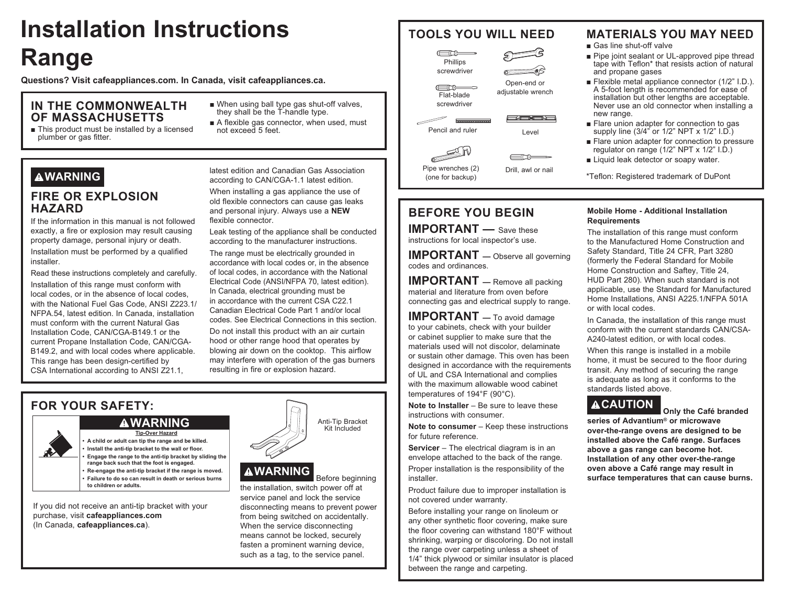# **Installation Instructions Range**

Questions? Visit cafeappliances.com. In Canada, visit cafeappliances.ca.

#### IN THE COMMONWEALTH OF MASSACHUSETTS

- This product must be installed by a licensed plumber or gas fitter.
- When using ball type gas shut-off valves. they shall be the T-handle type.
- A flexible gas connector, when used, must not exceed 5 feet.

# **AWARNING**

### **FIRE OR EXPLOSION HAZARD**

If the information in this manual is not followed exactly, a fire or explosion may result causing property damage, personal injury or death.

Installation must be performed by a qualified installer.

Read these instructions completely and carefully.

Installation of this range must conform with local codes, or in the absence of local codes. with the National Fuel Gas Code, ANSI Z223.1/ NFPA.54, latest edition, In Canada, installation must conform with the current Natural Gas Installation Code, CAN/CGA-B149.1 or the current Propane Installation Code, CAN/CGA-B149.2, and with local codes where applicable. This range has been design-certified by CSA International according to ANSI Z21.1,

latest edition and Canadian Gas Association according to CAN/CGA-1.1 latest edition.

When installing a gas appliance the use of old flexible connectors can cause gas leaks and personal injury. Always use a NEW flexible connector.

Leak testing of the appliance shall be conducted according to the manufacturer instructions.

The range must be electrically grounded in accordance with local codes or, in the absence of local codes, in accordance with the National Electrical Code (ANSI/NFPA 70. latest edition). In Canada, electrical grounding must be in accordance with the current CSA C22.1 Canadian Flectrical Code Part 1 and/or local codes. See Electrical Connections in this section.

Do not install this product with an air curtain hood or other range hood that operates by blowing air down on the cooktop. This airflow may interfere with operation of the gas burners resulting in fire or explosion hazard.

### **FOR YOUR SAFETY:**

**AWARNING** 

**Tip-Over Hazard** A child or adult can tip the range and be killed. Install the anti-tip bracket to the wall or floor. Engage the range to the anti-tip bracket by sliding the range back such that the foot is engaged. Re-engage the anti-tip bracket if the range is moved. Failure to do so can result in death or serious burns to children or adults.

If you did not receive an anti-tip bracket with your purchase, visit cafeappliances.com (In Canada, cafeappliances.ca).

# **AWARNING**

Before beginning the installation, switch power off at service panel and lock the service disconnecting means to prevent power from being switched on accidentally. When the service disconnecting means cannot be locked, securely fasten a prominent warning device, such as a tag, to the service panel.

Anti-Tip Bracket

Kit Included

# **TOOLS YOU WILL NEED**



Open-end or

adjustable wrench

| 純白色的|

Level

 $\equiv$ nn

 $\equiv$   $\equiv$ Flat-blade screwdriver



Pencil and ruler



(one for backup)

### **BEFORE YOU BEGIN**

**IMPORTANT**  $\qquad$  Save these instructions for local inspector's use.

**IMPORTANT** - Observe all governing codes and ordinances.

**IMPORTANT** - Remove all packing material and literature from oven before connecting gas and electrical supply to range.

**IMPORTANT**  $-$  To avoid damage to your cabinets, check with your builder or cabinet supplier to make sure that the materials used will not discolor, delaminate or sustain other damage. This oven has been designed in accordance with the requirements of UL and CSA International and complies with the maximum allowable wood cabinet temperatures of 194°F (90°C).

Note to Installer  $-$  Be sure to leave these instructions with consumer.

Note to consumer - Keep these instructions for future reference.

Servicer - The electrical diagram is in an envelope attached to the back of the range.

Proper installation is the responsibility of the installer.

Product failure due to improper installation is not covered under warranty.

Before installing your range on linoleum or any other synthetic floor covering, make sure the floor covering can withstand 180°F without shrinking, warping or discoloring. Do not install the range over carpeting unless a sheet of 1/4" thick plywood or similar insulator is placed between the range and carpeting.

### **MATERIALS YOU MAY NEED**

■ Gas line shut-off valve

- Pipe joint sealant or UL-approved pipe thread tape with Teflon\* that resists action of natural and propane gases
- Flexible metal appliance connector (1/2" I.D.). A 5-foot length is recommended for ease of installation but other lengths are acceptable. Never use an old connector when installing a new range.
- Flare union adapter for connection to gas supply line (3/4" or 1/2" NPT x 1/2" I.D.)
- Flare union adapter for connection to pressure regulator on range (1/2" NPT x 1/2" I.D.)
- Liquid leak detector or soapy water.

\*Teflon: Registered trademark of DuPont

#### Mobile Home - Additional Installation **Requirements**

The installation of this range must conform to the Manufactured Home Construction and Safety Standard. Title 24 CFR. Part 3280 (formerly the Federal Standard for Mobile Home Construction and Saftey, Title 24, HUD Part 280). When such standard is not applicable, use the Standard for Manufactured Home Installations, ANSI A225.1/NFPA 501A or with local codes.

In Canada, the installation of this range must conform with the current standards CAN/CSA-A240-latest edition, or with local codes.

When this range is installed in a mobile home, it must be secured to the floor during transit. Any method of securing the range is adequate as long as it conforms to the standards listed above

### **ACAUTION**

Only the Café branded

series of Advantium<sup>®</sup> or microwave over-the-range ovens are designed to be installed above the Café range. Surfaces above a gas range can become hot. Installation of any other over-the-range oven above a Café range may result in surface temperatures that can cause burns.

Drill, awl or nail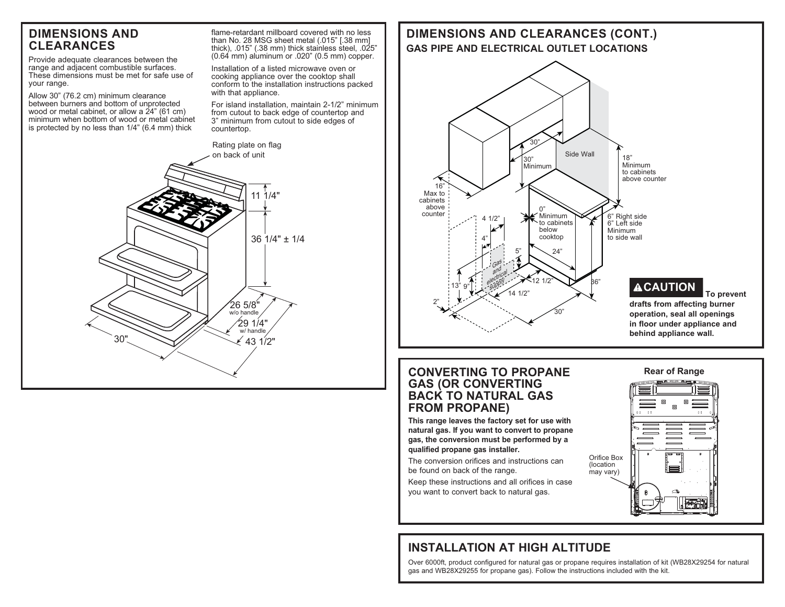### **DIMENSIONS AND CLEARANCES**

Provide adequate clearances between the range and adjacent combustible surfaces. These dimensions must be met for safe use of your range.

Allow 30" (76.2 cm) minimum clearance between burners and bottom of unprotected wood or metal cabinet, or allow a  $24$ " (61 cm) minimum when bottom of wood or metal cabinet is protected by no less than  $1/4$ " (6.4 mm) thick

flame-retardant millboard covered with no less than No. 28 MSG sheet metal (.015" [.38 mm] thick), .015" (.38 mm) thick stainless steel, .025"  $(0.64 \text{ mm})$  aluminum or  $.020$ "  $(0.5 \text{ mm})$  copper.

Installation of a listed microwave oven or cooking appliance over the cooktop shall conform to the installation instructions packed with that appliance.

For island installation, maintain 2-1/2" minimum from cutout to back edge of countertop and 3" minimum from cutout to side edges of countertop.



### **DIMENSIONS AND CLEARANCES (CONT.) GAS PIPE AND ELECTRICAL OUTLET LOCATIONS**  $18"$ Minimum to cabinets above counter  $0$ " 30" Minimum 30)  $16'$ Max to cabinets above<br>counter Side Wall

Minimum to cabinets helow cooktop

 $24'$ 

12 1/2"

30"

Minimum to side wall

β6"

 $\begin{array}{ccc}\n\text{counter} \\
\hline\n\end{array}$  4 1/2"  $\begin{array}{ccc}\n\text{Minimum} \\
\hline\n\end{array}$   $\begin{array}{ccc}\n\text{Minimum} \\
\hline\n\end{array}$   $\begin{array}{ccc}\n\text{S'}\n\end{array}$  Right side

5"

 $1/2$ 

#### **CONVERTING TO PROPANE GAS (OR CONVERTING BACK TO NATURAL GAS FROM PROPANE)**

 $4"$ 

4 1/2"

Gas  $an \frac{d}{dx}$ arical<br>electrical **V**<br>Supply

2"

 $13"9"$ 

**This range leaves the factory set for use with natural gas. If you want to convert to propane gas, the conversion must be performed by a qualified propane gas installer.**

The conversion orifices and instructions can be found on back of the range.

Keep these instructions and all orifices in case you want to convert back to natural gas.



**CAUTION To prevent drafts from affecting burner operation, seal all openings in floor under appliance and behind appliance wall.**



## **INSTALLATION AT HIGH ALTITUDE**

Over 6000ft, product configured for natural gas or propane requires installation of kit (WB28X29254 for natural gas and WB28X29255 for propane gas). Follow the instructions included with the kit.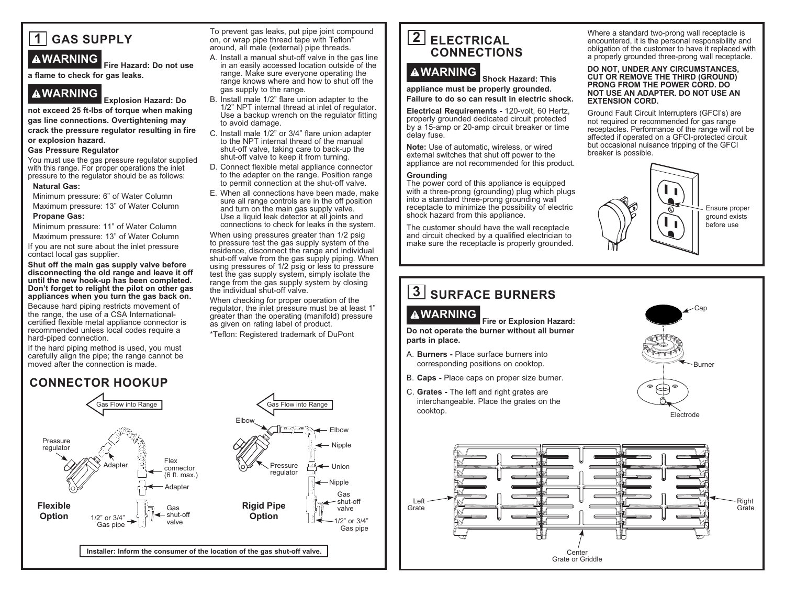

**WARNING Fire Hazard: Do not use a flame to check for gas leaks.**

**WARNING Explosion Hazard: Do not exceed 25 ft-lbs of torque when making gas line connections. Overtightening may crack the pressure regulator resulting in fire or explosion hazard.**

#### **Gas Pressure Regulator**

You must use the gas pressure regulator supplied with this range. For proper operations the inlet pressure to the regulator should be as follows:

#### **Natural Gas:**

Minimum pressure: 6" of Water Column Maximum pressure: 13" of Water Column

#### **Propane Gas:**

Minimum pressure: 11" of Water Column

Maximum pressure: 13" of Water Column If you are not sure about the inlet pressure contact local gas supplier.

**Shut off the main gas supply valve before disconnecting the old range and leave it off until the new hook-up has been completed. Don't forget to relight the pilot on other gas appliances when you turn the gas back on.**

Because hard piping restricts movement of the range, the use of a CSA Internationalcertified flexible metal appliance connector is recommended unless local codes require a hard-piped connection.

If the hard piping method is used, you must carefully align the pipe; the range cannot be moved after the connection is made.

### **CONNECTOR HOOKUP**

Pressure regulator Gas Flow into Range that the Case of Gas Flow into Range Flex connector  $(6 ft. max.)$ **Adapter Installer: Inform the consumer of the location of the gas shut-off valve.** 1/2" or 3/4" Gas pipe Adapter Gas shut-off valve Pressure regulator  $F$ Ihow · Elbow - Nipple  $\leftarrow$  Union  $\longleftarrow$  Nipple Gas - shut-off valve 1/2" or 3/4" Gas pipe **Flexible Option Rigid Pipe Option**

To prevent gas leaks, put pipe joint compound on, or wrap pipe thread tape with Teflon\* around, all male (external) pipe threads.

- A. Install a manual shut-off valve in the gas line in an easily accessed location outside of the range. Make sure everyone operating the range knows where and how to shut off the gas supply to the range.
- B. Install male 1/2" flare union adapter to the 1/2" NPT internal thread at inlet of regulator. Use a backup wrench on the regulator fitting to avoid damage.
- C. Install male 1/2" or 3/4" flare union adapter to the NPT internal thread of the manual shut-off valve, taking care to back-up the shut-off valve to keep it from turning.
- D. Connect flexible metal appliance connector to the adapter on the range. Position range to permit connection at the shut-off valve.
- E. When all connections have been made, make sure all range controls are in the off position and turn on the main gas supply valve. Use a liquid leak detector at all joints and connections to check for leaks in the system.

When using pressures greater than 1/2 psig to pressure test the gas supply system of the residence, disconnect the range and individual shut-off valve from the gas supply piping. When using pressures of 1/2 psig or less to pressure test the gas supply system, simply isolate the range from the gas supply system by closing the individual shut-off valve.

When checking for proper operation of the regulator, the inlet pressure must be at least 1" greater than the operating (manifold) pressure as given on rating label of product.

\*Teflon: Registered trademark of DuPont

### **2 ELECTRICAL CONNECTIONS**

# **WARNING Shock Hazard: This**

**appliance must be properly grounded.** 

**Failure to do so can result in electric shock.**

**Electrical Requirements - 120-volt. 60 Hertz.** properly grounded dedicated circuit protected by a 15-amp or 20-amp circuit breaker or time delay fuse.

**Note:** Use of automatic, wireless, or wired external switches that shut off power to the appliance are not recommended for this product.

#### **Grounding**

The power cord of this appliance is equipped with a three-prong (grounding) plug which plugs into a standard three-prong grounding wall receptacle to minimize the possibility of electric shock hazard from this appliance.

The customer should have the wall receptacle and circuit checked by a qualified electrician to make sure the receptacle is properly grounded.

Where a standard two-prong wall receptacle is encountered, it is the personal responsibility and obligation of the customer to have it replaced with a properly grounded three-prong wall receptacle.

#### **DO NOT, UNDER ANY CIRCUMSTANCES, CUT OR REMOVE THE THIRD (GROUND) PRONG FROM THE POWER CORD. DO NOT USE AN ADAPTER. DO NOT USE AN EXTENSION CORD.**

Ground Fault Circuit Interrupters (GFCI's) are not required or recommended for gas range receptacles. Performance of the range will not be affected if operated on a GFCI-protected circuit but occasional nuisance tripping of the GFCI breaker is possible.



# **3** SURFACE BURNERS

**WARNING Fire or Explosion Hazard:** 

**Do not operate the burner without all burner parts in place.**

- A. **Burners -** Place surface burners into corresponding positions on cooktop.
- B. **Caps -** Place caps on proper size burner.
- C. Grates The left and right grates are interchangeable. Place the grates on the cooktop.



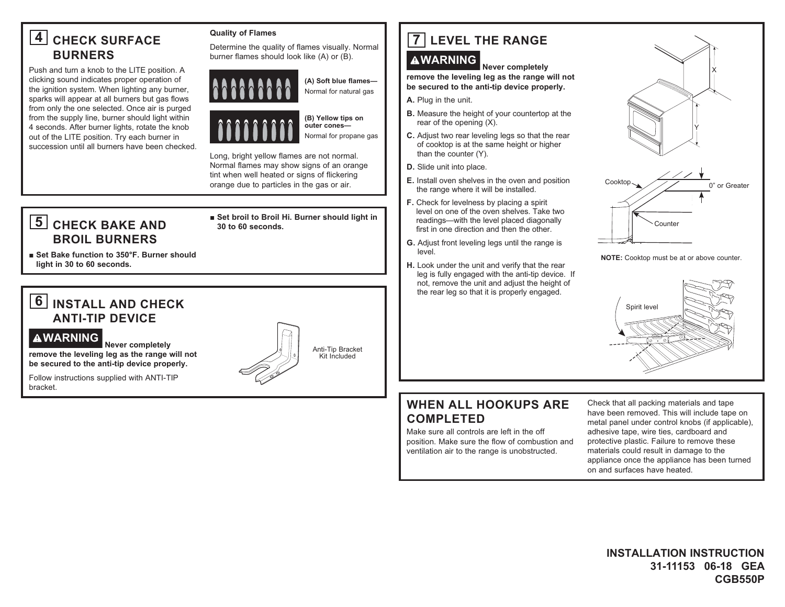# 4 CHECK SURFACE **BURNERS**

Push and turn a knob to the LITE position. A clicking sound indicates proper operation of the ignition system. When lighting any burner, sparks will appear at all burners but gas flows from only the one selected. Once air is purged from the supply line, burner should light within 4 seconds. After burner lights, rotate the knob out of the LITE position. Try each burner in succession until all burners have been checked.

#### **Quality of Flames**

Determine the quality of flames visually. Normal burner flames should look like (A) or (B).



(A) Soft blue flames-Normal for natural gas



(B) Yellow tips on outer cones-

Normal for propane gas

Long, bright yellow flames are not normal. Normal flames may show signs of an orange tint when well heated or signs of flickering orange due to particles in the gas or air.

# 5 CHECK BAKE AND **BROIL BURNERS**

#### Set broil to Broil Hi. Burner should light in 30 to 60 seconds.

Set Bake function to 350°F. Burner should light in 30 to 60 seconds.

# **6** INSTALL AND CHECK **ANTI-TIP DEVICE**

#### **AWARNING**

Never completely remove the leveling leg as the range will not be secured to the anti-tip device properly.

Follow instructions supplied with ANTI-TIP bracket.



# 7 LEVEL THE RANGE

### **AWARNING**

Never completely remove the leveling leg as the range will not be secured to the anti-tip device properly.

- A. Plug in the unit.
- B. Measure the height of your countertop at the rear of the opening  $(X)$ .
- C. Adjust two rear leveling legs so that the rear of cooktop is at the same height or higher than the counter (Y).
- D. Slide unit into place.
- E. Install oven shelves in the oven and position the range where it will be installed.
- F. Check for levelness by placing a spirit level on one of the oven shelves. Take two readings-with the level placed diagonally first in one direction and then the other.
- G. Adjust front leveling legs until the range is level.
- H. Look under the unit and verify that the rear leg is fully engaged with the anti-tip device. If not, remove the unit and adjust the height of the rear leg so that it is properly engaged.



#### NOTE: Cooktop must be at or above counter.



### **WHEN ALL HOOKUPS ARE COMPLETED**

Make sure all controls are left in the off position. Make sure the flow of combustion and ventilation air to the range is unobstructed.

Check that all packing materials and tape have been removed. This will include tape on metal panel under control knobs (if applicable), adhesive tape, wire ties, cardboard and protective plastic. Failure to remove these materials could result in damage to the appliance once the appliance has been turned on and surfaces have heated.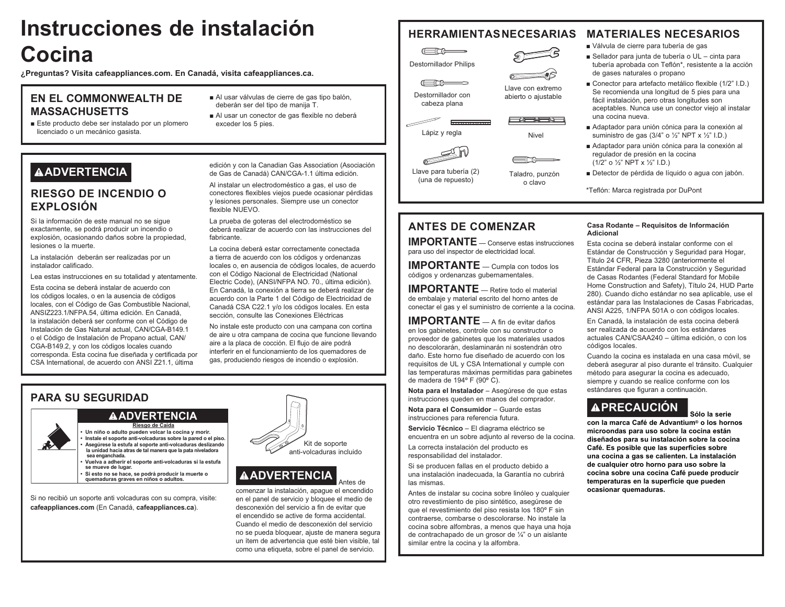# Instrucciones de instalación Cocina

¿Preguntas? Visita cafeappliances.com. En Canadá, visita cafeappliances.ca.

#### **EN EL COMMONWEALTH DE MASSACHUSETTS**

Este producto debe ser instalado por un plomero licenciado o un mecánico gasista.

## **AADVERTENCIA**

### **RIESGO DE INCENDIO O EXPLOSIÓN**

Si la información de este manual no se sique exactamente, se podrá producir un incendio o explosión, ocasionando daños sobre la propiedad, lesiones o la muerte.

La instalación deberán ser realizadas por un instalador calificado.

Lea estas instrucciones en su totalidad y atentamente.

Esta cocina se deberá instalar de acuerdo con los códigos locales, o en la ausencia de códigos locales, con el Código de Gas Combustible Nacional, ANSIZ223.1/NFPA.54. última edición. En Canadá. la instalación deberá ser conforme con el Código de Instalación de Gas Natural actual, CAN/CGA-B149.1 o el Código de Instalación de Propano actual. CAN/ CGA-B149.2. y con los códigos locales cuando corresponda. Esta cocina fue diseñada y certificada por CSA International, de acuerdo con ANSI Z21.1, última

- Al usar válvulas de cierre de gas tipo balón. deberán ser del tipo de manija T.
- Al usar un conector de gas flexible no deberá exceder los 5 pies.

#### **HERRAMIENTASNECESARIAS MATERIALES NECESARIOS**

Válvula de cierre para tubería de gas

- Sellador para junta de tubería o UL cinta para tubería aprobada con Teflón\*, resistente a la acción de gases naturales o propano
- Conector para artefacto metálico flexible (1/2" I.D.) Se recomienda una longitud de 5 pies para una fácil instalación, pero otras longitudes son aceptables. Nunca use un conector viejo al instalar una cocina nueva
- Adaptador para unión cónica para la conexión al suministro de gas (3/4" o  $\frac{1}{2}$ " NPT x  $\frac{1}{2}$ " I.D.)
- Adaptador para unión cónica para la conexión al regulador de presión en la cocina  $(1/2"$  o  $\frac{1}{2}$ " NPT x  $\frac{1}{2}$ " I.D.)
- Detector de pérdida de líquido o agua con jabón.

\*Teflón: Marca registrada por DuPont

de Gas de Canadá) CAN/CGA-1.1 última edición. Al instalar un electrodoméstico a gas, el uso de conectores flexibles viejos puede ocasionar pérdidas

y lesiones personales. Siempre use un conector flexible NUEVO.

edición y con la Canadian Gas Association (Asociación

La prueba de goteras del electrodoméstico se deberá realizar de acuerdo con las instrucciones del fahricante

La cocina deberá estar correctamente conectada a tierra de acuerdo con los códigos y ordenanzas locales o, en ausencia de códigos locales, de acuerdo con el Código Nacional de Electricidad (National Electric Code), (ANSI/NFPA NO. 70., última edición). En Canadá, la conexión a tierra se deberá realizar de acuerdo con la Parte 1 del Código de Electricidad de Canadá CSA C22.1 y/o los códigos locales. En esta sección, consulte las Conexiones Eléctricas

No instale este producto con una campana con cortina de aire u otra campana de cocina que funcione llevando aire a la placa de cocción. El flujo de aire podrá interferir en el funcionamiento de los quemadores de gas, produciendo riesgos de incendio o explosión.

### **PARA SU SEGURIDAD**

#### **AADVERTENCIA**

Riesgo de Caída Un niño o adulto pueden volcar la cocina y morir. Instale el soporte anti-volcaduras sobre la pared o el piso. Asegúrese la estufa al soporte anti-volcaduras deslizando la unidad hacia atras de tal manera que la pata niveladora sea enganchada. Vuelva a adherir el soporte anti-volcaduras si la estufa se mueve de lugar. Si esto no se hace, se podrá producir la muerte o quemaduras graves en niños o adultos.

Si no recibió un soporte anti volcaduras con su compra, visite: cafeappliances.com (En Canadá, cafeappliances.ca).



# **AADVERTENCIA**

comenzar la instalación, apague el encendido en el panel de servicio y bloquee el medio de desconexión del servicio a fin de evitar que el encendido se active de forma accidental. Cuando el medio de desconexión del servicio no se pueda bloquear, ajuste de manera segura un ítem de advertencia que esté bien visible, tal como una etiqueta, sobre el panel de servicio.

Antes de

# **ANTES DE COMENZAR**

 $\begin{array}{ccc}\n\hline\n\end{array}$ 

**Destornillador Philips** 

 $\begin{array}{ccc}\n\hline\n\hline\n\end{array}$ 

Destornillador con

cabeza plana

Lápiz y regla

Llave para tubería (2)

(una de repuesto)

**IMPORTANTE** — Conserve estas instrucciones para uso del inspector de electricidad local.

**IMPORTANTE** - Cumpla con todos los códigos y ordenanzas gubernamentales.

**IMPORTANTE** - Retire todo el material de embalaie y material escrito del horno antes de conectar el gas y el suministro de corriente a la cocina.

**IMPORTANTE**  $\equiv$  A fin de evitar daños en los gabinetes, controle con su constructor o proveedor de gabinetes que los materiales usados no descolorarán, deslaminarán ni sostendrán otro daño. Este horno fue diseñado de acuerdo con los requisitos de UL y CSA International y cumple con las temperaturas máximas permitidas para gabinetes de madera de 194° F (90° C).

Nota para el Instalador - Asegúrese de que estas instrucciones queden en manos del comprador.

Nota para el Consumidor - Guarde estas instrucciones para referencia futura.

Servicio Técnico - El diagrama eléctrico se encuentra en un sobre adiunto al reverso de la cocina.

La correcta instalación del producto es responsabilidad del instalador.

Si se producen fallas en el producto debido a una instalación inadecuada, la Garantía no cubrirá las mismas.

Antes de instalar su cocina sobre linóleo y cualquier otro revestimiento de piso sintético, asegúrese de que el revestimiento del piso resista los 180° F sin contraerse, combarse o descolorarse. No instale la cocina sobre alfombras, a menos que haya una hoja de contrachapado de un grosor de ¼" o un aislante similar entre la cocina y la alfombra.

#### Casa Rodante - Requisitos de Información **Adicional**

Esta cocina se deberá instalar conforme con el Estándar de Construcción y Seguridad para Hogar, Título 24 CFR. Pieza 3280 (anteriormente el Estándar Federal para la Construcción y Seguridad de Casas Rodantes (Federal Standard for Mobile Home Construction and Safety), Título 24, HUD Parte 280). Cuando dicho estándar no sea aplicable, use el estándar para las Instalaciones de Casas Fabricadas, ANSI A225, 1/NFPA 501A o con códigos locales.

En Canadá, la instalación de esta cocina deberá ser realizada de acuerdo con los estándares actuales CAN/CSAA240 - última edición, o con los códigos locales.

Cuando la cocina es instalada en una casa móvil, se deberá asegurar al piso durante el tránsito. Cualquier método para asegurar la cocina es adecuado, siempre y cuando se realice conforme con los estándares que figuran a continuación.

# **APRECAUCIÓN**

Sólo la serie con la marca Café de Advantium<sup>®</sup> o los hornos microondas para uso sobre la cocina están diseñados para su instalación sobre la cocina Café. Es posible que las superficies sobre una cocina a gas se calienten. La instalación de cualquier otro horno para uso sobre la cocina sobre una cocina Café puede producir temperaturas en la superficie que pueden ocasionar quemaduras.





Nivel

=me

Taladro, punzón

o clavo

Llave con extremo

abierto o ajustable

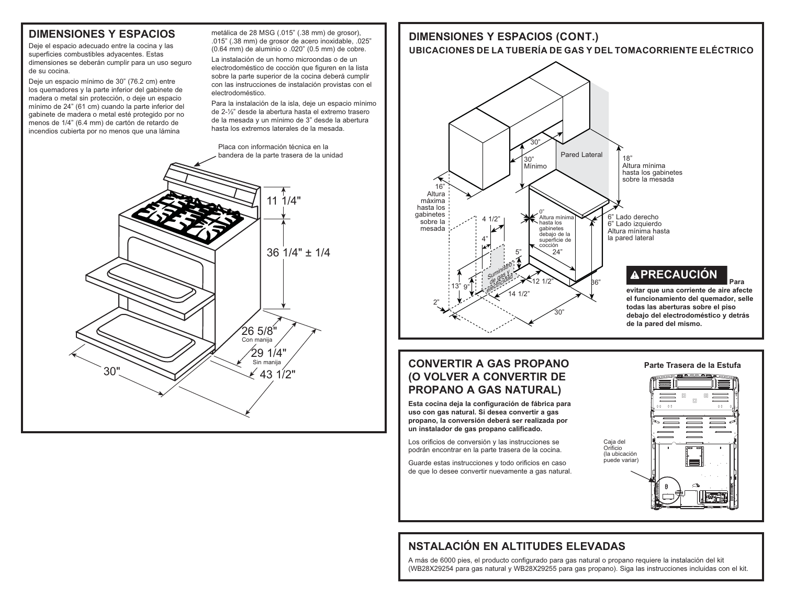### **DIMENSIONES Y ESPACIOS**

Deie el espacio adecuado entre la cocina y las superficies combustibles advacentes. Estas dimensiones se deberán cumplir para un uso seguro de su cocina.

Deje un espacio mínimo de 30" (76.2 cm) entre los quemadores y la parte inferior del gabinete de madera o metal sin protección, o deje un espacio mínimo de 24" (61 cm) cuando la parte inferior del gabinete de madera o metal esté protegido por no menos de 1/4" (6.4 mm) de cartón de retardo de incendios cubierta por no menos que una lámina

metálica de 28 MSG (.015" (.38 mm) de grosor). .015" (.38 mm) de grosor de acero inoxidable. .025" (0.64 mm) de aluminio o .020" (0.5 mm) de cobre.

La instalación de un horno microondas o de un electrodoméstico de cocción que figuren en la lista sobre la parte superior de la cocina deberá cumplir con las instrucciones de instalación provistas con el electrodoméstico.

Para la instalación de la isla, deje un espacio mínimo de 2-1/2" desde la abertura hasta el extremo trasero de la mesada y un mínimo de 3" desde la abertura hasta los extremos laterales de la mesada.



# **DIMENSIONES Y ESPACIOS (CONT.)**

#### UBICACIONES DE LA TUBERÍA DE GAS Y DEL TOMACORRIENTE ELÉCTRICO



#### **CONVERTIR A GAS PROPANO** (O VOLVER A CONVERTIR DE **PROPANO A GAS NATURAL)**

Esta cocina deja la configuración de fábrica para uso con gas natural. Si desea convertir a gas propano, la conversión deberá ser realizada por un instalador de gas propano calificado.

Los orificios de conversión y las instrucciones se podrán encontrar en la parte trasera de la cocina.

Guarde estas instrucciones y todo orificios en caso de que lo desee convertir nuevamente a gas natural.





### **NSTALACIÓN EN ALTITUDES ELEVADAS**

A más de 6000 pies, el producto configurado para gas natural o propano reguiere la instalación del kit (WB28X29254 para gas natural y WB28X29255 para gas propano). Siga las instrucciones incluidas con el kit.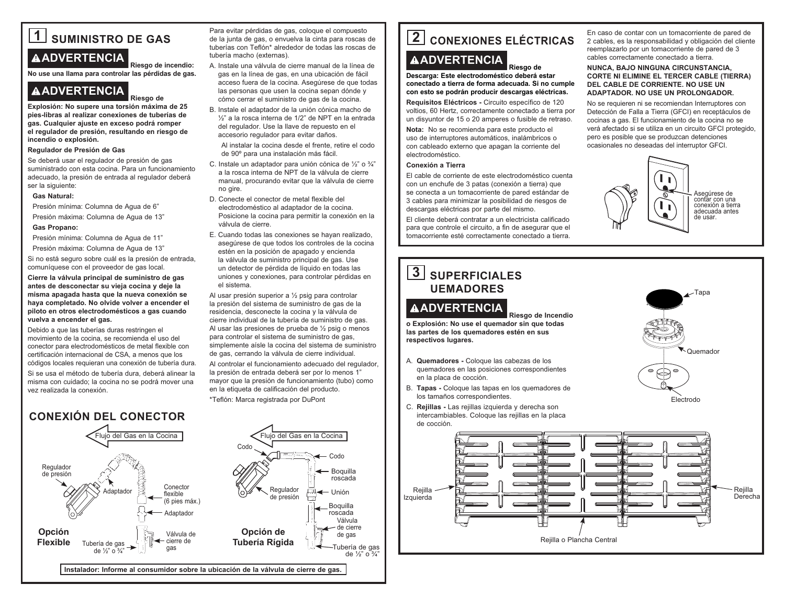# **1 SUMINISTRO DE GAS ADVERTENCIA**

**Riesgo de incendio: No use una llama para controlar las pérdidas de gas.**

**Riesgo de** 

### **ADVERTENCIA**

**Explosión: No supere una torsión máxima de 25 pies-libras al realizar conexiones de tuberías de gas. Cualquier ajuste en exceso podrá romper el regulador de presión, resultando en riesgo de incendio o explosión.**

#### **Regulador de Presión de Gas**

Se deberá usar el regulador de presión de gas suministrado con esta cocina. Para un funcionamiento adecuado, la presión de entrada al regulador deberá ser la siguiente:

#### **Gas Natural:**

Presión mínima: Columna de Agua de 6"

Presión máxima: Columna de Agua de 13"

#### **Gas Propano:**

Presión mínima: Columna de Agua de 11"

Presión máxima: Columna de Aqua de 13"

Si no está seguro sobre cuál es la presión de entrada. comuníquese con el proveedor de gas local.

**Cierre la válvula principal de suministro de gas antes de desconectar su vieja cocina y deje la misma apagada hasta que la nueva conexión se haya completado. No olvide volver a encender el piloto en otros electrodomésticos a gas cuando vuelva a encender el gas.**

Debido a que las tuberías duras restringen el movimiento de la cocina, se recomienda el uso del conector para electrodomésticos de metal flexible con certificación internacional de CSA, a menos que los códigos locales requieran una conexión de tubería dura.

Si se usa el método de tubería dura, deberá alinear la misma con cuidado; la cocina no se podrá mover una vez realizada la conexión.

> Tubería de gas de  $\frac{1}{2}$ " o  $\frac{3}{4}$

**Flexible**

#### **CONEXIÓN DEL CONECTOR** Regulador de presión Flujo del Gas en la Cocina Conector flexible (6 pies máx.) **Adaptador Adaptador** Válvula de Regulador de presión Codo **Opción Opción de**

← cierre de gas

**Instalador: Informe al consumidor sobre la ubicación de la válvula de cierre de gas.**

Para evitar pérdidas de gas, coloque el compuesto de la junta de gas, o envuelva la cinta para roscas de tuberías con Teflón\* alrededor de todas las roscas de tubería macho (externas).

- A. Instale una válvula de cierre manual de la línea de gas en la línea de gas, en una ubicación de fácil acceso fuera de la cocina. Aseqúrese de que todas las personas que usen la cocina sepan dónde y cómo cerrar el suministro de gas de la cocina.
- B. Instale el adaptador de la unión cónica macho de 1/<sub>2</sub>" a la rosca interna de 1/2" de NPT en la entrada del regulador. Use la llave de repuesto en el accesorio regulador para evitar daños.

Al instalar la cocina desde el frente, retire el codo de 90º para una instalación más fácil.

- C. Instale un adaptador para unión cónica de 1/2" o  $\frac{3}{4}$ " a la rosca interna de NPT de la válvula de cierre manual, procurando evitar que la válvula de cierre no gire.
- D. Conecte el conector de metal flexible del electrodoméstico al adaptador de la cocina. Posicione la cocina para permitir la conexión en la válvula de cierre.
- E. Cuando todas las conexiones se hayan realizado, aseqúrese de que todos los controles de la cocina estén en la posición de apagado y encienda la válvula de suministro principal de gas. Use un detector de pérdida de líquido en todas las uniones y conexiones, para controlar pérdidas en el sistema.

Al usar presión superior a  $\frac{1}{2}$  psig para controlar la presión del sistema de suministro de gas de la residencia, desconecte la cocina y la válvula de cierre individual de la tubería de suministro de gas. Al usar las presiones de prueba de  $\frac{1}{2}$  psig o menos para controlar el sistema de suministro de gas, simplemente aísle la cocina del sistema de suministro de gas, cerrando la válvula de cierre individual.

AI controlar el funcionamiento adecuado del regulador. la presión de entrada deberá ser por lo menos 1" mayor que la presión de funcionamiento (tubo) como en la etiqueta de calificación del producto.

> - Codo - Boguilla roscada  $\leftarrow$  Unión Boquilla mscada Válvula - de cierre de gas Tubería de gas de  $\frac{1}{2}$ " o  $\frac{3}{4}$ "

\*Teflón: Marca registrada por DuPont

**Tubería Rígida**

# **2** CONEXIONES ELÉCTRICAS

# **ADVERTENCIA**

**Riesgo de Descarga: Este electrodoméstico deberá estar conectado a tierra de forma adecuada. Si no cumple con esto se podrán producir descargas eléctricas.**

**Requisitos Eléctricos - Circuito específico de 120** voltios, 60 Hertz, correctamente conectado a tierra por un disyuntor de 15 o 20 amperes o fusible de retraso.

**Nota:** No se recomienda para este producto el uso de interruptores automáticos, inalámbricos o con cableado externo que apagan la corriente del electrodoméstico

#### **Conexión a Tierra**

El cable de corriente de este electrodoméstico cuenta con un enchufe de 3 patas (conexión a tierra) que se conecta a un tomacorriente de pared estándar de 3 cables para minimizar la posibilidad de riesgos de descargas eléctricas por parte del mismo.

El cliente deberá contratar a un electricista calificado para que controle el circuito, a fin de asegurar que el tomacorriente esté correctamente conectado a tierra.

# **3 SUPERFICIALES UEMADORES**

### **ADVERTENCIA**

**Riesgo de Incendio o Explosión: No use el quemador sin que todas las partes de los quemadores estén en sus respectivos lugares.**

- A. **Quemadores -** Coloque las cabezas de los quemadores en las posiciones correspondientes en la placa de cocción.
- B. Tapas Coloque las tapas en los quemadores de los tamaños correspondientes.
- C. **Rejillas -** Las rejillas izquierda y derecha son intercambiables. Coloque las rejillas en la placa de cocción.



#### **NUNCA, BAJO NINGUNA CIRCUNSTANCIA, CORTE NI ELIMINE EL TERCER CABLE (TIERRA) DEL CABLE DE CORRIENTE. NO USE UN ADAPTADOR. NO USE UN PROLONGADOR.**

No se requieren ni se recomiendan Interruptores con Detección de Falla a Tierra (GFCI) en receptáculos de cocinas a gas. El funcionamiento de la cocina no se verá afectado si se utiliza en un circuito GFCI protegido, pero es posible que se produzcan detenciones ocasionales no deseadas del interruptor GFCI.